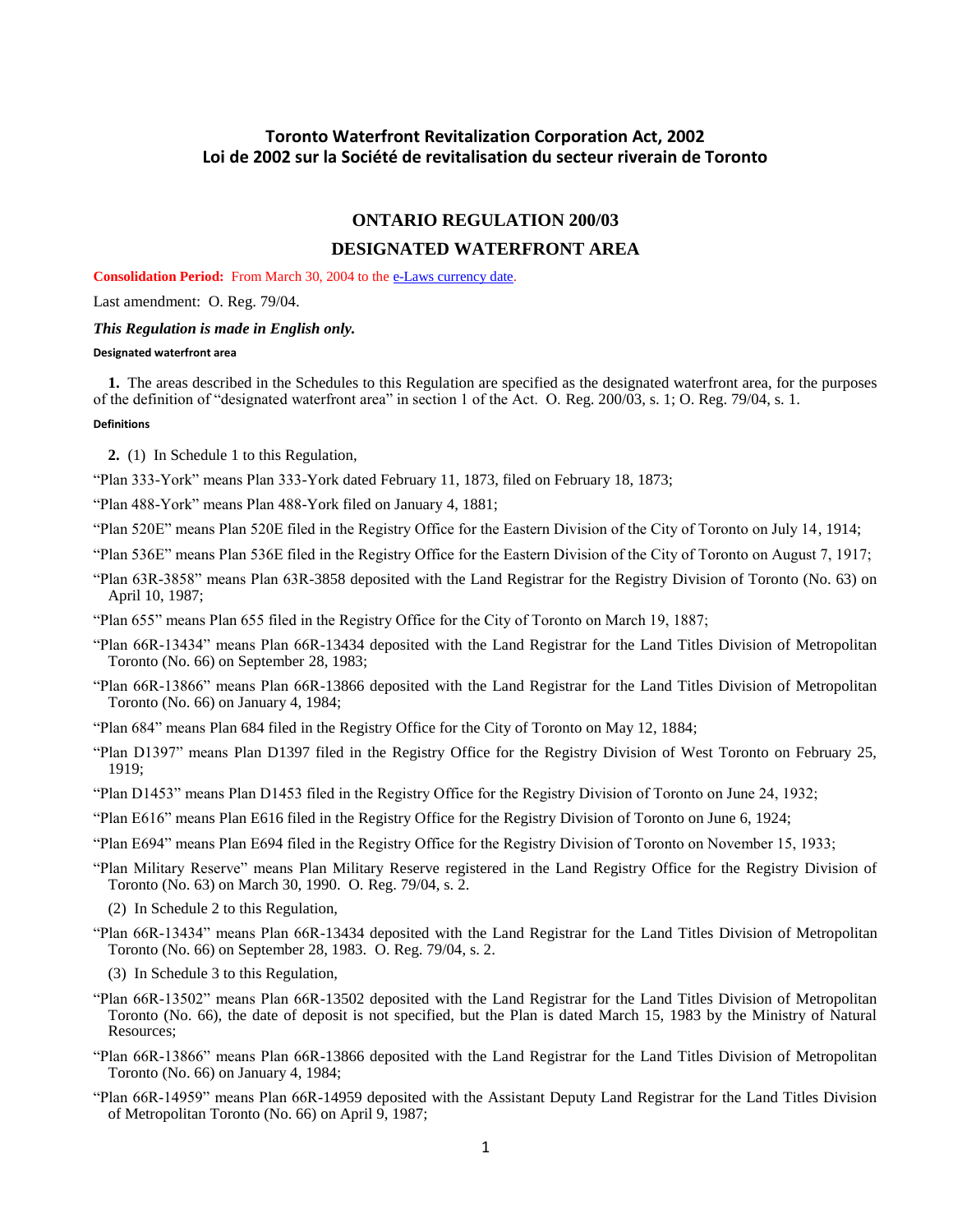# <span id="page-0-0"></span>**Toronto Waterfront Revitalization Corporation Act, 2002 Loi de 2002 sur la Société de revitalisation du secteur riverain de Toronto**

# **ONTARIO REGULATION 200/03**

# **DESIGNATED WATERFRONT AREA**

**Consolidation Period:** From March 30, 2004 to th[e e-Laws currency date.](http://www.e-laws.gov.on.ca/navigation?file=currencyDates&lang=en)

Last amendment: O. Reg. 79/04.

### *This Regulation is made in English only.*

## **Designated waterfront area**

**1.** The areas described in the Schedules to this Regulation are specified as the designated waterfront area, for the purposes of the definition of "designated waterfront area" in section 1 of the Act. O. Reg. 200/03, s. 1; O. Reg. 79/04, s. 1.

## **Definitions**

**2.** (1) In Schedule 1 to this Regulation,

- "Plan 333-York" means Plan 333-York dated February 11, 1873, filed on February 18, 1873;
- "Plan 488-York" means Plan 488-York filed on January 4, 1881;
- "Plan 520E" means Plan 520E filed in the Registry Office for the Eastern Division of the City of Toronto on July 14, 1914;
- "Plan 536E" means Plan 536E filed in the Registry Office for the Eastern Division of the City of Toronto on August 7, 1917;
- "Plan 63R-3858" means Plan 63R-3858 deposited with the Land Registrar for the Registry Division of Toronto (No. 63) on April 10, 1987;
- "Plan 655" means Plan 655 filed in the Registry Office for the City of Toronto on March 19, 1887;
- "Plan 66R-13434" means Plan 66R-13434 deposited with the Land Registrar for the Land Titles Division of Metropolitan Toronto (No. 66) on September 28, 1983;
- "Plan 66R-13866" means Plan 66R-13866 deposited with the Land Registrar for the Land Titles Division of Metropolitan Toronto (No. 66) on January 4, 1984;
- "Plan 684" means Plan 684 filed in the Registry Office for the City of Toronto on May 12, 1884;
- "Plan D1397" means Plan D1397 filed in the Registry Office for the Registry Division of West Toronto on February 25, 1919;
- "Plan D1453" means Plan D1453 filed in the Registry Office for the Registry Division of Toronto on June 24, 1932;
- "Plan E616" means Plan E616 filed in the Registry Office for the Registry Division of Toronto on June 6, 1924;
- "Plan E694" means Plan E694 filed in the Registry Office for the Registry Division of Toronto on November 15, 1933;
- "Plan Military Reserve" means Plan Military Reserve registered in the Land Registry Office for the Registry Division of Toronto (No. 63) on March 30, 1990. O. Reg. 79/04, s. 2.
	- (2) In Schedule 2 to this Regulation,
- "Plan 66R-13434" means Plan 66R-13434 deposited with the Land Registrar for the Land Titles Division of Metropolitan Toronto (No. 66) on September 28, 1983. O. Reg. 79/04, s. 2.
	- (3) In Schedule 3 to this Regulation,
- "Plan 66R-13502" means Plan 66R-13502 deposited with the Land Registrar for the Land Titles Division of Metropolitan Toronto (No. 66), the date of deposit is not specified, but the Plan is dated March 15, 1983 by the Ministry of Natural Resources;
- "Plan 66R-13866" means Plan 66R-13866 deposited with the Land Registrar for the Land Titles Division of Metropolitan Toronto (No. 66) on January 4, 1984;
- "Plan 66R-14959" means Plan 66R-14959 deposited with the Assistant Deputy Land Registrar for the Land Titles Division of Metropolitan Toronto (No. 66) on April 9, 1987;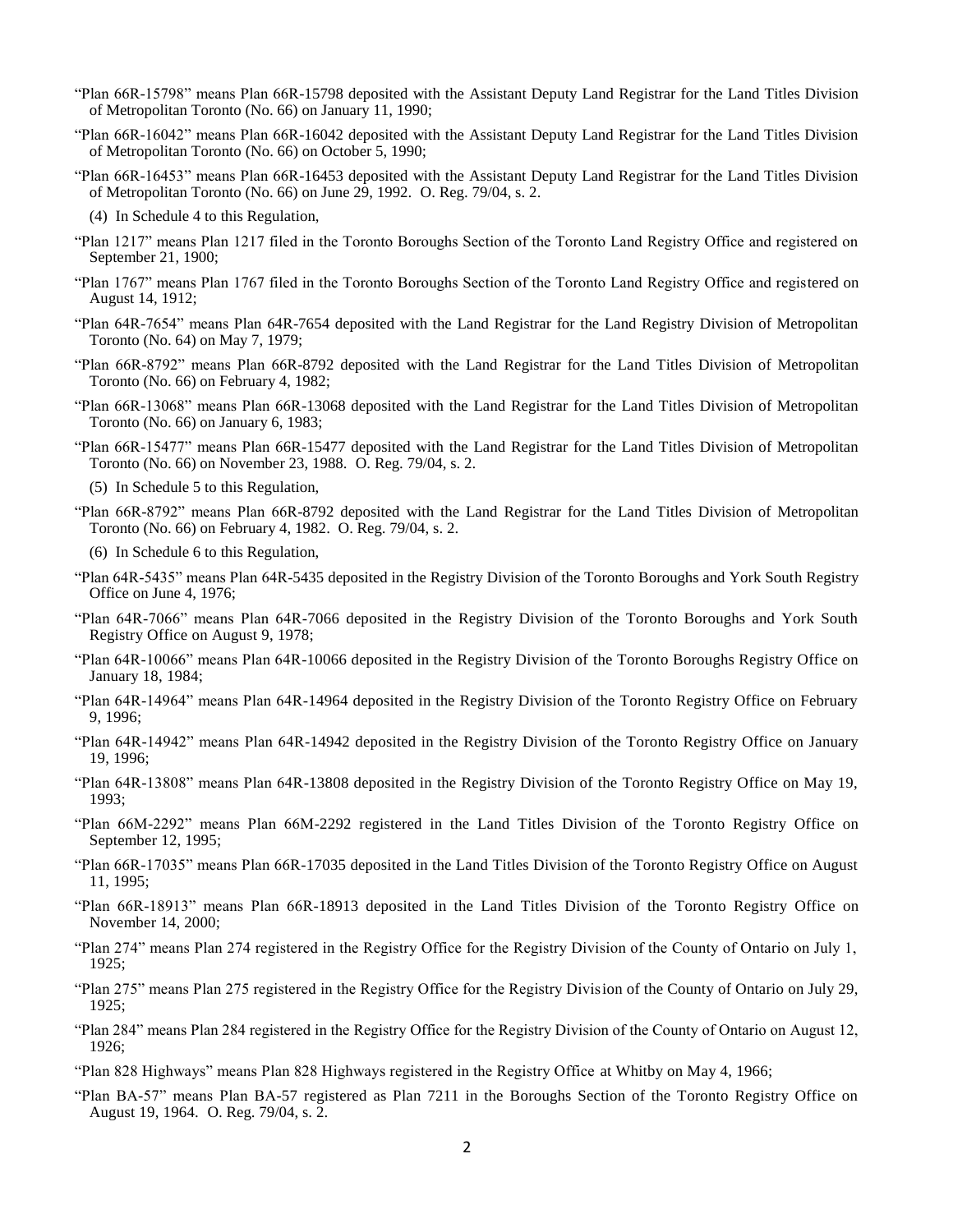- "Plan 66R-15798" means Plan 66R-15798 deposited with the Assistant Deputy Land Registrar for the Land Titles Division of Metropolitan Toronto (No. 66) on January 11, 1990;
- "Plan 66R-16042" means Plan 66R-16042 deposited with the Assistant Deputy Land Registrar for the Land Titles Division of Metropolitan Toronto (No. 66) on October 5, 1990;
- "Plan 66R-16453" means Plan 66R-16453 deposited with the Assistant Deputy Land Registrar for the Land Titles Division of Metropolitan Toronto (No. 66) on June 29, 1992. O. Reg. 79/04, s. 2.
	- (4) In Schedule 4 to this Regulation,
- "Plan 1217" means Plan 1217 filed in the Toronto Boroughs Section of the Toronto Land Registry Office and registered on September 21, 1900;
- "Plan 1767" means Plan 1767 filed in the Toronto Boroughs Section of the Toronto Land Registry Office and registered on August 14, 1912;
- "Plan 64R-7654" means Plan 64R-7654 deposited with the Land Registrar for the Land Registry Division of Metropolitan Toronto (No. 64) on May 7, 1979;
- "Plan 66R-8792" means Plan 66R-8792 deposited with the Land Registrar for the Land Titles Division of Metropolitan Toronto (No. 66) on February 4, 1982;
- "Plan 66R-13068" means Plan 66R-13068 deposited with the Land Registrar for the Land Titles Division of Metropolitan Toronto (No. 66) on January 6, 1983;
- "Plan 66R-15477" means Plan 66R-15477 deposited with the Land Registrar for the Land Titles Division of Metropolitan Toronto (No. 66) on November 23, 1988. O. Reg. 79/04, s. 2.
	- (5) In Schedule 5 to this Regulation,
- "Plan 66R-8792" means Plan 66R-8792 deposited with the Land Registrar for the Land Titles Division of Metropolitan Toronto (No. 66) on February 4, 1982. O. Reg. 79/04, s. 2.
	- (6) In Schedule 6 to this Regulation,
- "Plan 64R-5435" means Plan 64R-5435 deposited in the Registry Division of the Toronto Boroughs and York South Registry Office on June 4, 1976;
- "Plan 64R-7066" means Plan 64R-7066 deposited in the Registry Division of the Toronto Boroughs and York South Registry Office on August 9, 1978;
- "Plan 64R-10066" means Plan 64R-10066 deposited in the Registry Division of the Toronto Boroughs Registry Office on January 18, 1984;
- "Plan 64R-14964" means Plan 64R-14964 deposited in the Registry Division of the Toronto Registry Office on February 9, 1996;
- "Plan 64R-14942" means Plan 64R-14942 deposited in the Registry Division of the Toronto Registry Office on January 19, 1996;
- "Plan 64R-13808" means Plan 64R-13808 deposited in the Registry Division of the Toronto Registry Office on May 19, 1993;
- "Plan 66M-2292" means Plan 66M-2292 registered in the Land Titles Division of the Toronto Registry Office on September 12, 1995;
- "Plan 66R-17035" means Plan 66R-17035 deposited in the Land Titles Division of the Toronto Registry Office on August 11, 1995;
- "Plan 66R-18913" means Plan 66R-18913 deposited in the Land Titles Division of the Toronto Registry Office on November 14, 2000;
- "Plan 274" means Plan 274 registered in the Registry Office for the Registry Division of the County of Ontario on July 1, 1925;
- "Plan 275" means Plan 275 registered in the Registry Office for the Registry Division of the County of Ontario on July 29, 1925;
- "Plan 284" means Plan 284 registered in the Registry Office for the Registry Division of the County of Ontario on August 12, 1926;
- "Plan 828 Highways" means Plan 828 Highways registered in the Registry Office at Whitby on May 4, 1966;
- "Plan BA-57" means Plan BA-57 registered as Plan 7211 in the Boroughs Section of the Toronto Registry Office on August 19, 1964. O. Reg. 79/04, s. 2.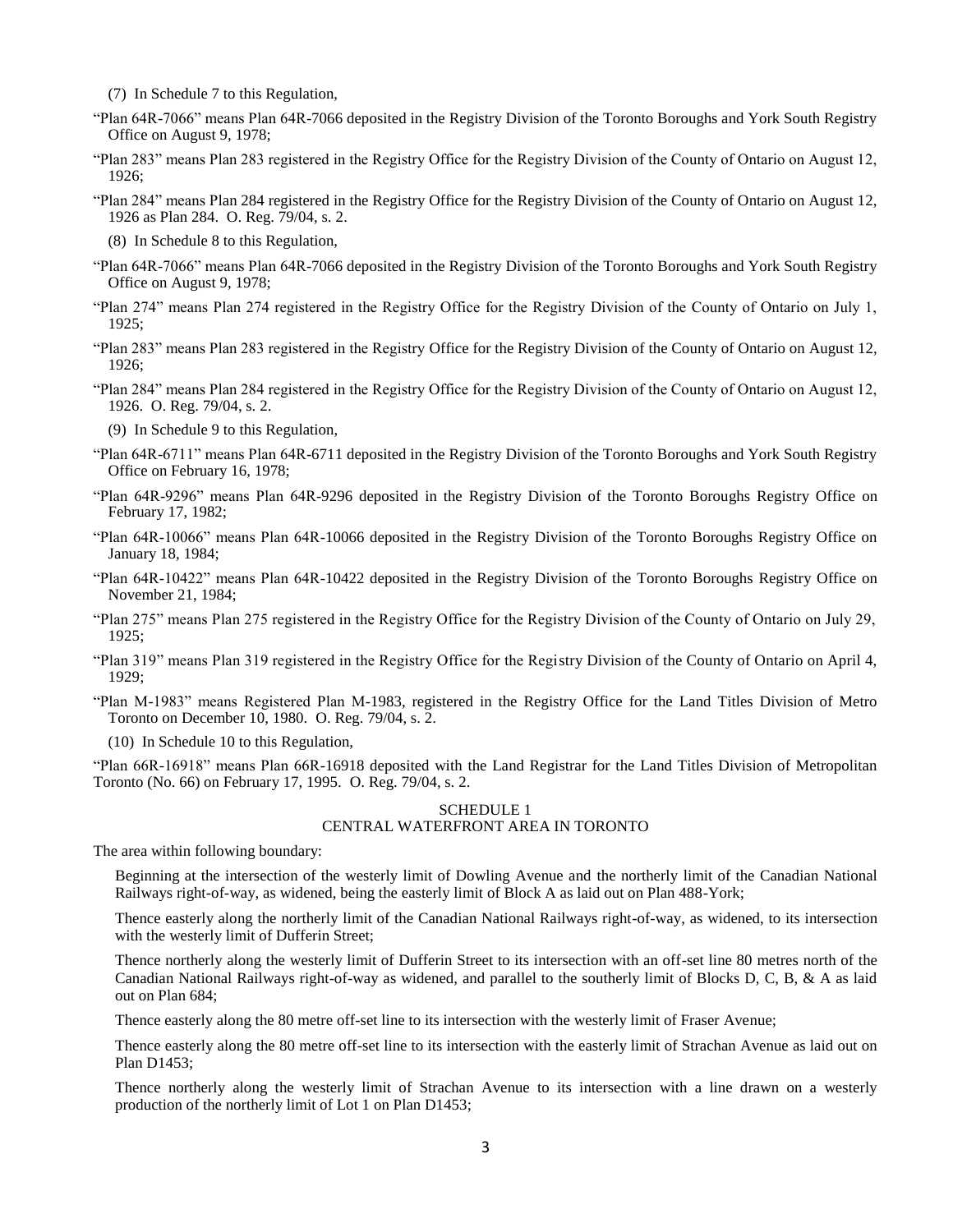(7) In Schedule 7 to this Regulation,

- "Plan 64R-7066" means Plan 64R-7066 deposited in the Registry Division of the Toronto Boroughs and York South Registry Office on August 9, 1978;
- "Plan 283" means Plan 283 registered in the Registry Office for the Registry Division of the County of Ontario on August 12, 1926;
- "Plan 284" means Plan 284 registered in the Registry Office for the Registry Division of the County of Ontario on August 12, 1926 as Plan 284. O. Reg. 79/04, s. 2.
	- (8) In Schedule 8 to this Regulation,
- "Plan 64R-7066" means Plan 64R-7066 deposited in the Registry Division of the Toronto Boroughs and York South Registry Office on August 9, 1978;
- "Plan 274" means Plan 274 registered in the Registry Office for the Registry Division of the County of Ontario on July 1, 1925;
- "Plan 283" means Plan 283 registered in the Registry Office for the Registry Division of the County of Ontario on August 12, 1926;
- "Plan 284" means Plan 284 registered in the Registry Office for the Registry Division of the County of Ontario on August 12, 1926. O. Reg. 79/04, s. 2.

(9) In Schedule 9 to this Regulation,

- "Plan 64R-6711" means Plan 64R-6711 deposited in the Registry Division of the Toronto Boroughs and York South Registry Office on February 16, 1978;
- "Plan 64R-9296" means Plan 64R-9296 deposited in the Registry Division of the Toronto Boroughs Registry Office on February 17, 1982;
- "Plan 64R-10066" means Plan 64R-10066 deposited in the Registry Division of the Toronto Boroughs Registry Office on January 18, 1984;
- "Plan 64R-10422" means Plan 64R-10422 deposited in the Registry Division of the Toronto Boroughs Registry Office on November 21, 1984;
- "Plan 275" means Plan 275 registered in the Registry Office for the Registry Division of the County of Ontario on July 29, 1925;
- "Plan 319" means Plan 319 registered in the Registry Office for the Registry Division of the County of Ontario on April 4, 1929;
- "Plan M-1983" means Registered Plan M-1983, registered in the Registry Office for the Land Titles Division of Metro Toronto on December 10, 1980. O. Reg. 79/04, s. 2.

(10) In Schedule 10 to this Regulation,

"Plan 66R-16918" means Plan 66R-16918 deposited with the Land Registrar for the Land Titles Division of Metropolitan Toronto (No. 66) on February 17, 1995. O. Reg. 79/04, s. 2.

### SCHEDULE 1 CENTRAL WATERFRONT AREA IN TORONTO

The area within following boundary:

Beginning at the intersection of the westerly limit of Dowling Avenue and the northerly limit of the Canadian National Railways right-of-way, as widened, being the easterly limit of Block A as laid out on Plan 488-York;

Thence easterly along the northerly limit of the Canadian National Railways right-of-way, as widened, to its intersection with the westerly limit of Dufferin Street;

Thence northerly along the westerly limit of Dufferin Street to its intersection with an off-set line 80 metres north of the Canadian National Railways right-of-way as widened, and parallel to the southerly limit of Blocks D, C, B, & A as laid out on Plan 684;

Thence easterly along the 80 metre off-set line to its intersection with the westerly limit of Fraser Avenue;

Thence easterly along the 80 metre off-set line to its intersection with the easterly limit of Strachan Avenue as laid out on Plan D1453;

Thence northerly along the westerly limit of Strachan Avenue to its intersection with a line drawn on a westerly production of the northerly limit of Lot 1 on Plan D1453;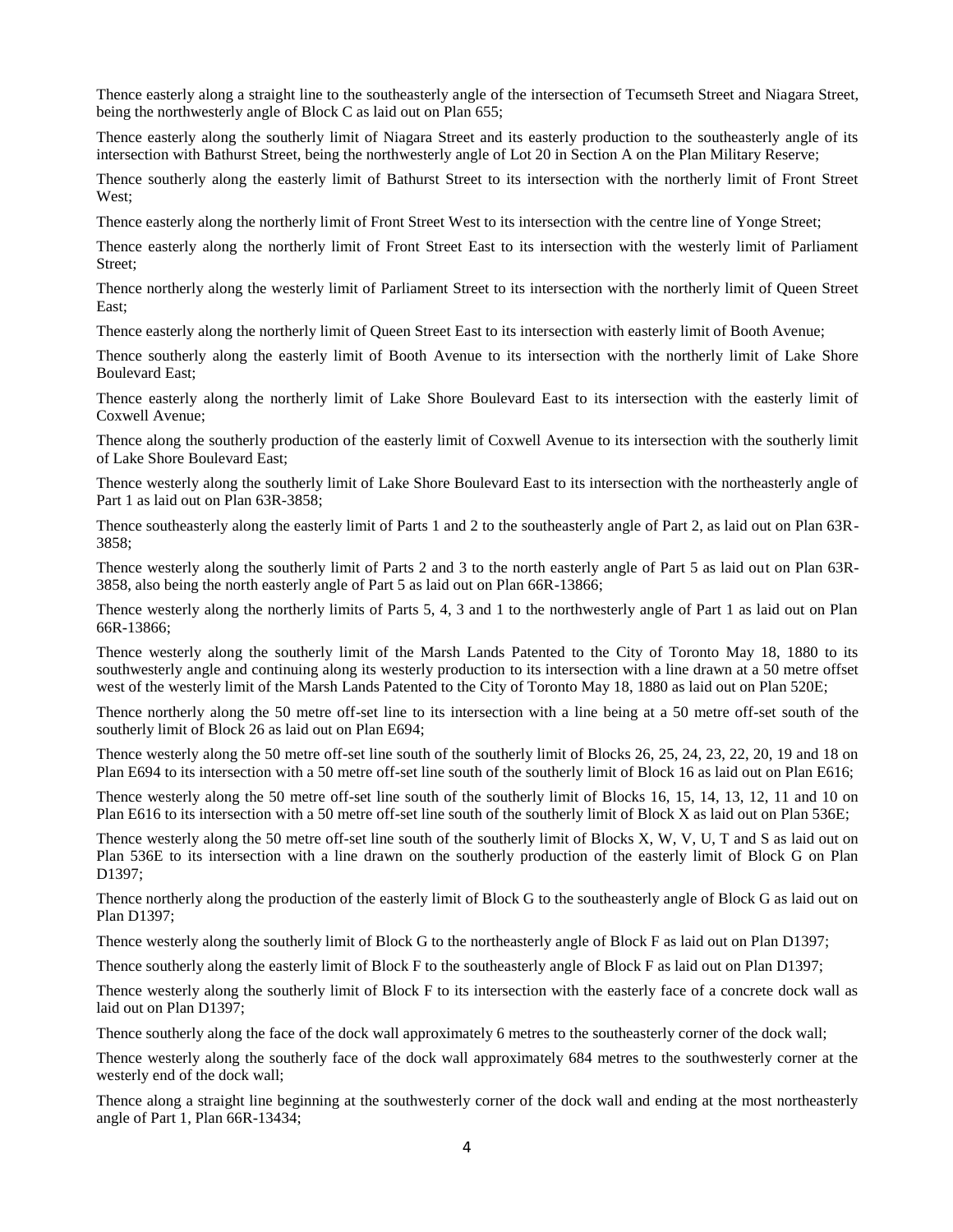Thence easterly along a straight line to the southeasterly angle of the intersection of Tecumseth Street and Niagara Street, being the northwesterly angle of Block C as laid out on Plan 655;

Thence easterly along the southerly limit of Niagara Street and its easterly production to the southeasterly angle of its intersection with Bathurst Street, being the northwesterly angle of Lot 20 in Section A on the Plan Military Reserve;

Thence southerly along the easterly limit of Bathurst Street to its intersection with the northerly limit of Front Street West;

Thence easterly along the northerly limit of Front Street West to its intersection with the centre line of Yonge Street;

Thence easterly along the northerly limit of Front Street East to its intersection with the westerly limit of Parliament Street;

Thence northerly along the westerly limit of Parliament Street to its intersection with the northerly limit of Queen Street East;

Thence easterly along the northerly limit of Queen Street East to its intersection with easterly limit of Booth Avenue;

Thence southerly along the easterly limit of Booth Avenue to its intersection with the northerly limit of Lake Shore Boulevard East;

Thence easterly along the northerly limit of Lake Shore Boulevard East to its intersection with the easterly limit of Coxwell Avenue;

Thence along the southerly production of the easterly limit of Coxwell Avenue to its intersection with the southerly limit of Lake Shore Boulevard East;

Thence westerly along the southerly limit of Lake Shore Boulevard East to its intersection with the northeasterly angle of Part 1 as laid out on Plan 63R-3858;

Thence southeasterly along the easterly limit of Parts 1 and 2 to the southeasterly angle of Part 2, as laid out on Plan 63R-3858;

Thence westerly along the southerly limit of Parts 2 and 3 to the north easterly angle of Part 5 as laid out on Plan 63R-3858, also being the north easterly angle of Part 5 as laid out on Plan 66R-13866;

Thence westerly along the northerly limits of Parts 5, 4, 3 and 1 to the northwesterly angle of Part 1 as laid out on Plan 66R-13866;

Thence westerly along the southerly limit of the Marsh Lands Patented to the City of Toronto May 18, 1880 to its southwesterly angle and continuing along its westerly production to its intersection with a line drawn at a 50 metre offset west of the westerly limit of the Marsh Lands Patented to the City of Toronto May 18, 1880 as laid out on Plan 520E;

Thence northerly along the 50 metre off-set line to its intersection with a line being at a 50 metre off-set south of the southerly limit of Block 26 as laid out on Plan E694;

Thence westerly along the 50 metre off-set line south of the southerly limit of Blocks 26, 25, 24, 23, 22, 20, 19 and 18 on Plan E694 to its intersection with a 50 metre off-set line south of the southerly limit of Block 16 as laid out on Plan E616;

Thence westerly along the 50 metre off-set line south of the southerly limit of Blocks 16, 15, 14, 13, 12, 11 and 10 on Plan E616 to its intersection with a 50 metre off-set line south of the southerly limit of Block X as laid out on Plan 536E;

Thence westerly along the 50 metre off-set line south of the southerly limit of Blocks X, W, V, U, T and S as laid out on Plan 536E to its intersection with a line drawn on the southerly production of the easterly limit of Block G on Plan D1397;

Thence northerly along the production of the easterly limit of Block G to the southeasterly angle of Block G as laid out on Plan D1397;

Thence westerly along the southerly limit of Block G to the northeasterly angle of Block F as laid out on Plan D1397;

Thence southerly along the easterly limit of Block F to the southeasterly angle of Block F as laid out on Plan D1397;

Thence westerly along the southerly limit of Block F to its intersection with the easterly face of a concrete dock wall as laid out on Plan D1397;

Thence southerly along the face of the dock wall approximately 6 metres to the southeasterly corner of the dock wall;

Thence westerly along the southerly face of the dock wall approximately 684 metres to the southwesterly corner at the westerly end of the dock wall;

Thence along a straight line beginning at the southwesterly corner of the dock wall and ending at the most northeasterly angle of Part 1, Plan 66R-13434;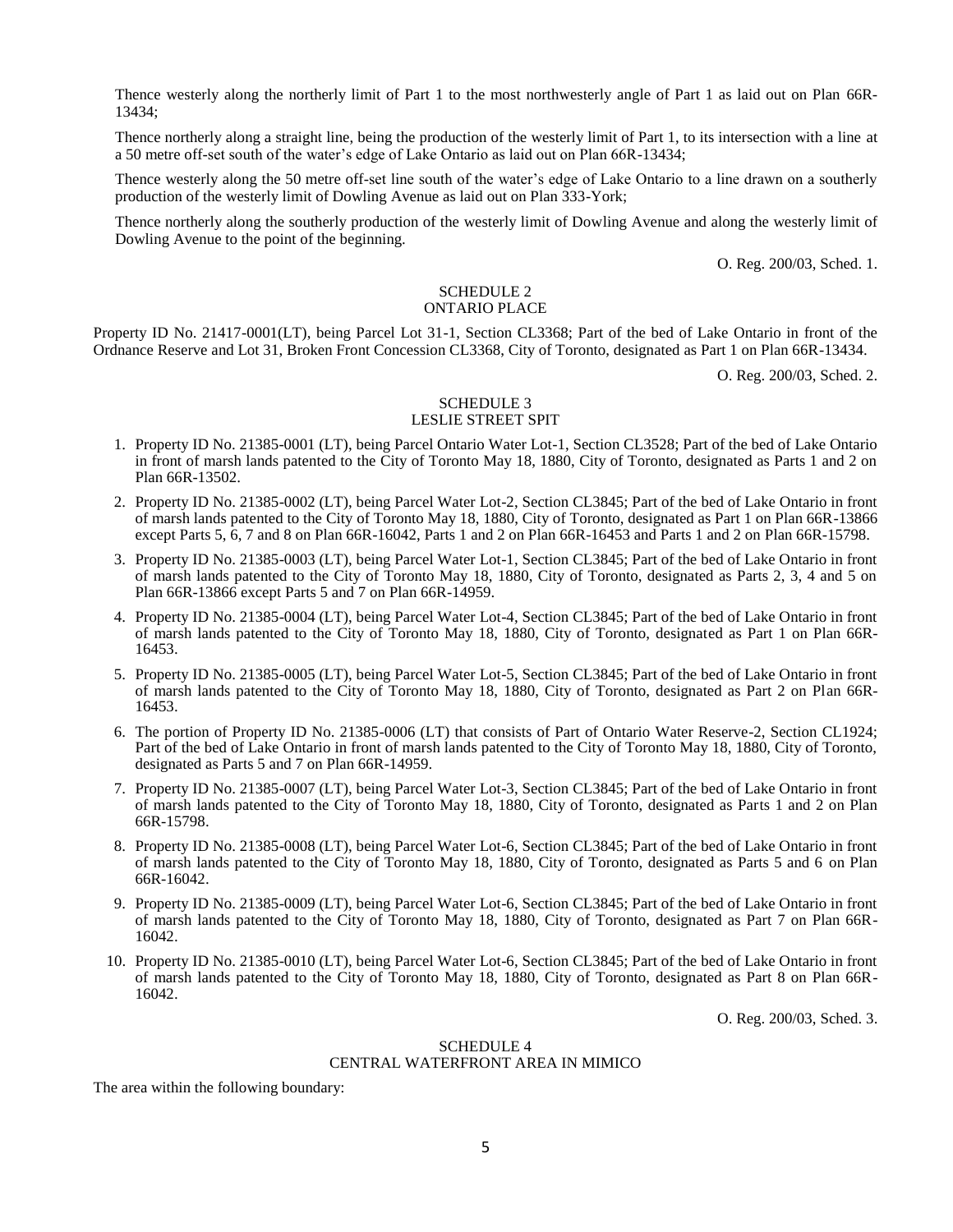Thence westerly along the northerly limit of Part 1 to the most northwesterly angle of Part 1 as laid out on Plan 66R-13434;

Thence northerly along a straight line, being the production of the westerly limit of Part 1, to its intersection with a line at a 50 metre off-set south of the water's edge of Lake Ontario as laid out on Plan 66R-13434;

Thence westerly along the 50 metre off-set line south of the water's edge of Lake Ontario to a line drawn on a southerly production of the westerly limit of Dowling Avenue as laid out on Plan 333-York;

Thence northerly along the southerly production of the westerly limit of Dowling Avenue and along the westerly limit of Dowling Avenue to the point of the beginning.

O. Reg. 200/03, Sched. 1.

#### SCHEDULE 2 ONTARIO PLACE

Property ID No. 21417-0001(LT), being Parcel Lot 31-1, Section CL3368; Part of the bed of Lake Ontario in front of the Ordnance Reserve and Lot 31, Broken Front Concession CL3368, City of Toronto, designated as Part 1 on Plan 66R-13434.

O. Reg. 200/03, Sched. 2.

#### SCHEDULE 3 LESLIE STREET SPIT

- 1. Property ID No. 21385-0001 (LT), being Parcel Ontario Water Lot-1, Section CL3528; Part of the bed of Lake Ontario in front of marsh lands patented to the City of Toronto May 18, 1880, City of Toronto, designated as Parts 1 and 2 on Plan 66R-13502.
- 2. Property ID No. 21385-0002 (LT), being Parcel Water Lot-2, Section CL3845; Part of the bed of Lake Ontario in front of marsh lands patented to the City of Toronto May 18, 1880, City of Toronto, designated as Part 1 on Plan 66R-13866 except Parts 5, 6, 7 and 8 on Plan 66R-16042, Parts 1 and 2 on Plan 66R-16453 and Parts 1 and 2 on Plan 66R-15798.
- 3. Property ID No. 21385-0003 (LT), being Parcel Water Lot-1, Section CL3845; Part of the bed of Lake Ontario in front of marsh lands patented to the City of Toronto May 18, 1880, City of Toronto, designated as Parts 2, 3, 4 and 5 on Plan 66R-13866 except Parts 5 and 7 on Plan 66R-14959.
- 4. Property ID No. 21385-0004 (LT), being Parcel Water Lot-4, Section CL3845; Part of the bed of Lake Ontario in front of marsh lands patented to the City of Toronto May 18, 1880, City of Toronto, designated as Part 1 on Plan 66R-16453.
- 5. Property ID No. 21385-0005 (LT), being Parcel Water Lot-5, Section CL3845; Part of the bed of Lake Ontario in front of marsh lands patented to the City of Toronto May 18, 1880, City of Toronto, designated as Part 2 on Plan 66R-16453.
- 6. The portion of Property ID No. 21385-0006 (LT) that consists of Part of Ontario Water Reserve-2, Section CL1924; Part of the bed of Lake Ontario in front of marsh lands patented to the City of Toronto May 18, 1880, City of Toronto, designated as Parts 5 and 7 on Plan 66R-14959.
- 7. Property ID No. 21385-0007 (LT), being Parcel Water Lot-3, Section CL3845; Part of the bed of Lake Ontario in front of marsh lands patented to the City of Toronto May 18, 1880, City of Toronto, designated as Parts 1 and 2 on Plan 66R-15798.
- 8. Property ID No. 21385-0008 (LT), being Parcel Water Lot-6, Section CL3845; Part of the bed of Lake Ontario in front of marsh lands patented to the City of Toronto May 18, 1880, City of Toronto, designated as Parts 5 and 6 on Plan 66R-16042.
- 9. Property ID No. 21385-0009 (LT), being Parcel Water Lot-6, Section CL3845; Part of the bed of Lake Ontario in front of marsh lands patented to the City of Toronto May 18, 1880, City of Toronto, designated as Part 7 on Plan 66R-16042.
- 10. Property ID No. 21385-0010 (LT), being Parcel Water Lot-6, Section CL3845; Part of the bed of Lake Ontario in front of marsh lands patented to the City of Toronto May 18, 1880, City of Toronto, designated as Part 8 on Plan 66R-16042.

O. Reg. 200/03, Sched. 3.

## SCHEDULE 4 CENTRAL WATERFRONT AREA IN MIMICO

The area within the following boundary: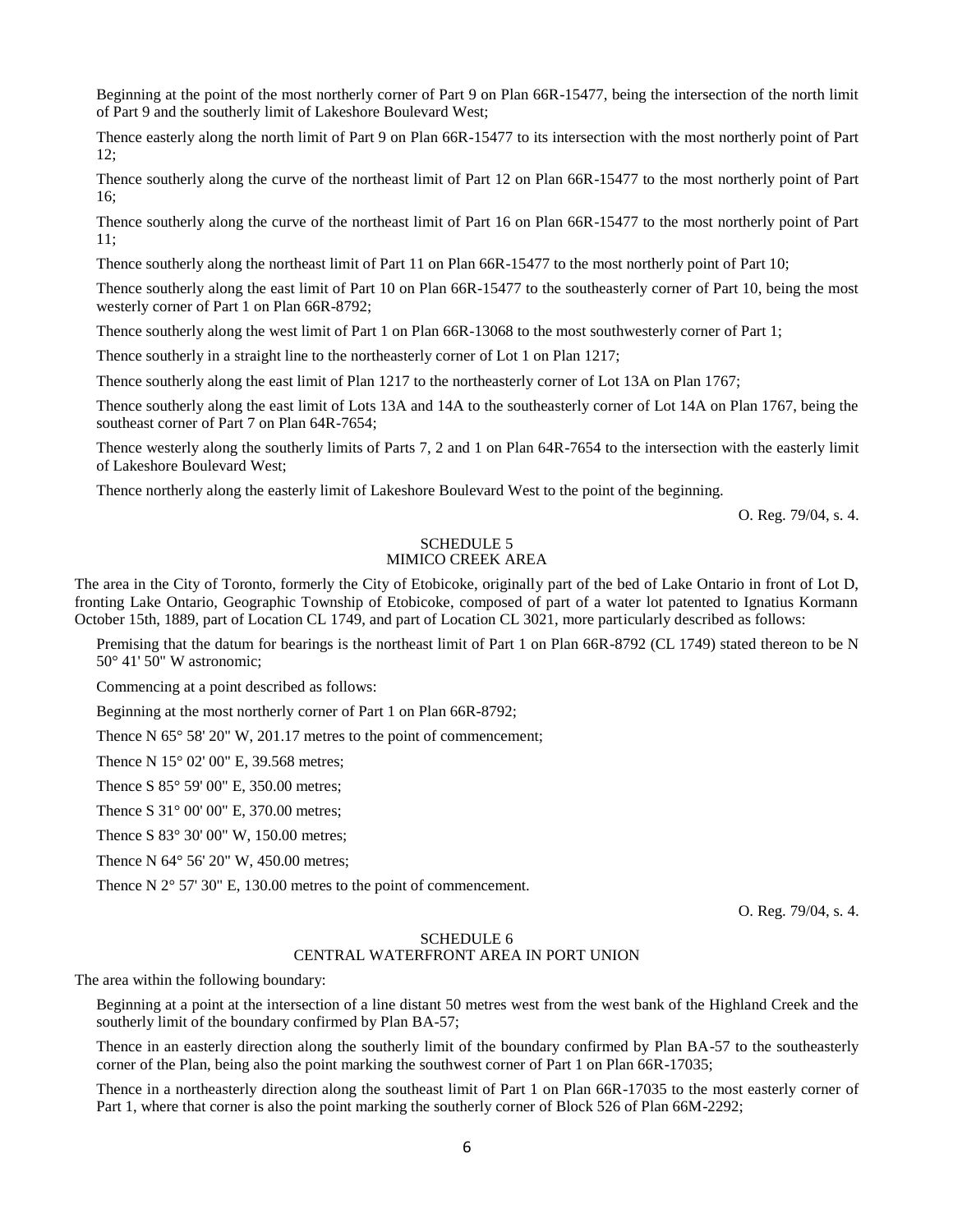Beginning at the point of the most northerly corner of Part 9 on Plan 66R-15477, being the intersection of the north limit of Part 9 and the southerly limit of Lakeshore Boulevard West;

Thence easterly along the north limit of Part 9 on Plan 66R-15477 to its intersection with the most northerly point of Part 12;

Thence southerly along the curve of the northeast limit of Part 12 on Plan 66R-15477 to the most northerly point of Part 16;

Thence southerly along the curve of the northeast limit of Part 16 on Plan 66R-15477 to the most northerly point of Part 11;

Thence southerly along the northeast limit of Part 11 on Plan 66R-15477 to the most northerly point of Part 10;

Thence southerly along the east limit of Part 10 on Plan 66R-15477 to the southeasterly corner of Part 10, being the most westerly corner of Part 1 on Plan 66R-8792;

Thence southerly along the west limit of Part 1 on Plan 66R-13068 to the most southwesterly corner of Part 1;

Thence southerly in a straight line to the northeasterly corner of Lot 1 on Plan 1217;

Thence southerly along the east limit of Plan 1217 to the northeasterly corner of Lot 13A on Plan 1767;

Thence southerly along the east limit of Lots 13A and 14A to the southeasterly corner of Lot 14A on Plan 1767, being the southeast corner of Part 7 on Plan 64R-7654;

Thence westerly along the southerly limits of Parts 7, 2 and 1 on Plan 64R-7654 to the intersection with the easterly limit of Lakeshore Boulevard West;

Thence northerly along the easterly limit of Lakeshore Boulevard West to the point of the beginning.

O. Reg. 79/04, s. 4.

#### SCHEDULE 5 MIMICO CREEK AREA

The area in the City of Toronto, formerly the City of Etobicoke, originally part of the bed of Lake Ontario in front of Lot D, fronting Lake Ontario, Geographic Township of Etobicoke, composed of part of a water lot patented to Ignatius Kormann October 15th, 1889, part of Location CL 1749, and part of Location CL 3021, more particularly described as follows:

Premising that the datum for bearings is the northeast limit of Part 1 on Plan 66R-8792 (CL 1749) stated thereon to be N 50° 41' 50" W astronomic;

Commencing at a point described as follows:

Beginning at the most northerly corner of Part 1 on Plan 66R-8792;

Thence N 65° 58' 20" W, 201.17 metres to the point of commencement;

Thence N 15° 02' 00" E, 39.568 metres;

Thence S 85° 59' 00" E, 350.00 metres;

Thence S 31° 00' 00" E, 370.00 metres;

Thence S 83° 30' 00" W, 150.00 metres;

Thence N 64° 56' 20" W, 450.00 metres;

Thence N 2° 57' 30" E, 130.00 metres to the point of commencement.

O. Reg. 79/04, s. 4.

# SCHEDULE 6

# CENTRAL WATERFRONT AREA IN PORT UNION

The area within the following boundary:

Beginning at a point at the intersection of a line distant 50 metres west from the west bank of the Highland Creek and the southerly limit of the boundary confirmed by Plan BA-57;

Thence in an easterly direction along the southerly limit of the boundary confirmed by Plan BA-57 to the southeasterly corner of the Plan, being also the point marking the southwest corner of Part 1 on Plan 66R-17035;

Thence in a northeasterly direction along the southeast limit of Part 1 on Plan 66R-17035 to the most easterly corner of Part 1, where that corner is also the point marking the southerly corner of Block 526 of Plan 66M-2292;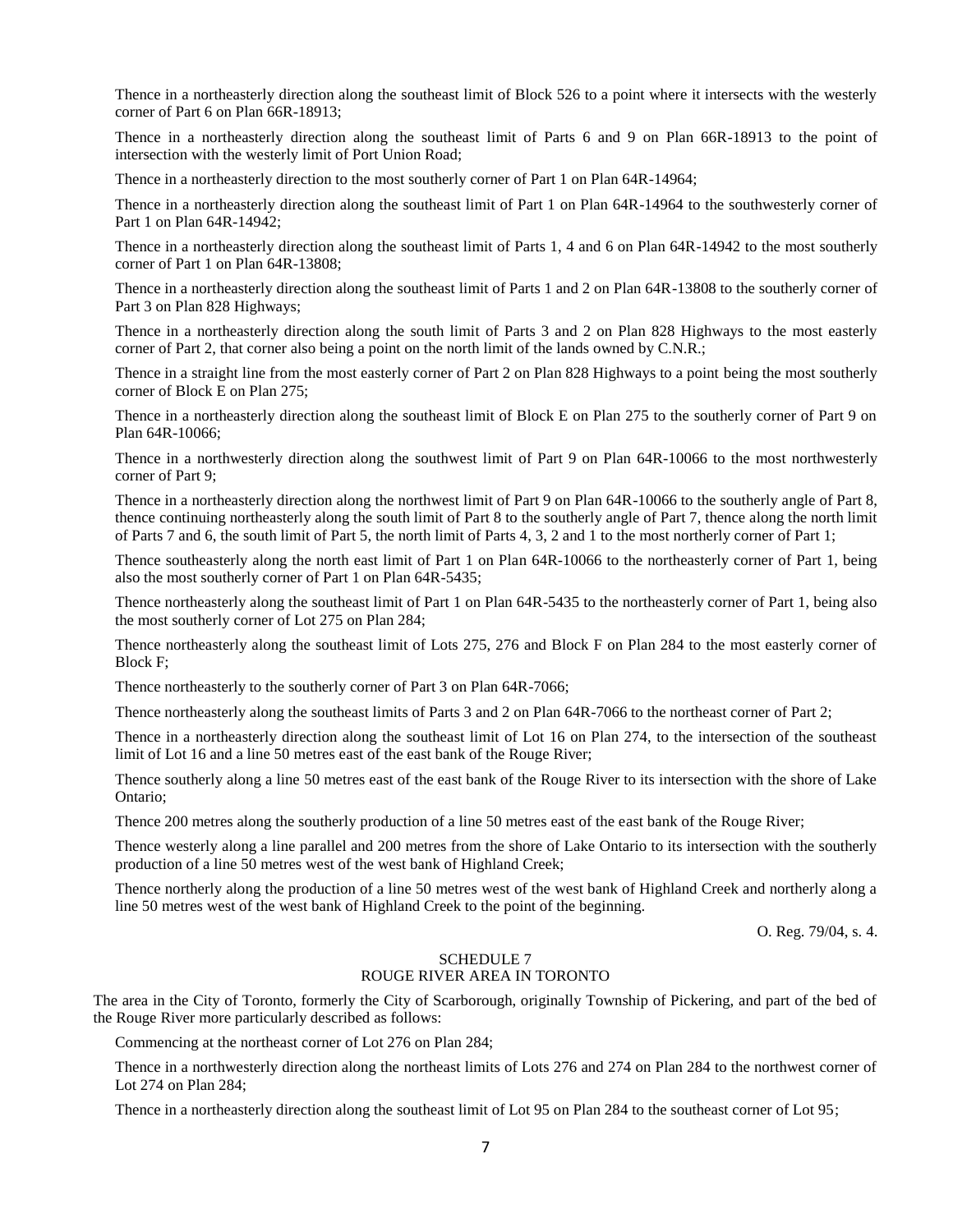Thence in a northeasterly direction along the southeast limit of Block 526 to a point where it intersects with the westerly corner of Part 6 on Plan 66R-18913;

Thence in a northeasterly direction along the southeast limit of Parts 6 and 9 on Plan 66R-18913 to the point of intersection with the westerly limit of Port Union Road;

Thence in a northeasterly direction to the most southerly corner of Part 1 on Plan 64R-14964;

Thence in a northeasterly direction along the southeast limit of Part 1 on Plan 64R-14964 to the southwesterly corner of Part 1 on Plan 64R-14942;

Thence in a northeasterly direction along the southeast limit of Parts 1, 4 and 6 on Plan 64R-14942 to the most southerly corner of Part 1 on Plan 64R-13808;

Thence in a northeasterly direction along the southeast limit of Parts 1 and 2 on Plan 64R-13808 to the southerly corner of Part 3 on Plan 828 Highways;

Thence in a northeasterly direction along the south limit of Parts 3 and 2 on Plan 828 Highways to the most easterly corner of Part 2, that corner also being a point on the north limit of the lands owned by C.N.R.;

Thence in a straight line from the most easterly corner of Part 2 on Plan 828 Highways to a point being the most southerly corner of Block E on Plan 275;

Thence in a northeasterly direction along the southeast limit of Block E on Plan 275 to the southerly corner of Part 9 on Plan 64R-10066;

Thence in a northwesterly direction along the southwest limit of Part 9 on Plan 64R-10066 to the most northwesterly corner of Part 9;

Thence in a northeasterly direction along the northwest limit of Part 9 on Plan 64R-10066 to the southerly angle of Part 8, thence continuing northeasterly along the south limit of Part 8 to the southerly angle of Part 7, thence along the north limit of Parts 7 and 6, the south limit of Part 5, the north limit of Parts 4, 3, 2 and 1 to the most northerly corner of Part 1;

Thence southeasterly along the north east limit of Part 1 on Plan 64R-10066 to the northeasterly corner of Part 1, being also the most southerly corner of Part 1 on Plan 64R-5435;

Thence northeasterly along the southeast limit of Part 1 on Plan 64R-5435 to the northeasterly corner of Part 1, being also the most southerly corner of Lot 275 on Plan 284;

Thence northeasterly along the southeast limit of Lots 275, 276 and Block F on Plan 284 to the most easterly corner of Block F;

Thence northeasterly to the southerly corner of Part 3 on Plan 64R-7066;

Thence northeasterly along the southeast limits of Parts 3 and 2 on Plan 64R-7066 to the northeast corner of Part 2;

Thence in a northeasterly direction along the southeast limit of Lot 16 on Plan 274, to the intersection of the southeast limit of Lot 16 and a line 50 metres east of the east bank of the Rouge River;

Thence southerly along a line 50 metres east of the east bank of the Rouge River to its intersection with the shore of Lake Ontario;

Thence 200 metres along the southerly production of a line 50 metres east of the east bank of the Rouge River;

Thence westerly along a line parallel and 200 metres from the shore of Lake Ontario to its intersection with the southerly production of a line 50 metres west of the west bank of Highland Creek;

Thence northerly along the production of a line 50 metres west of the west bank of Highland Creek and northerly along a line 50 metres west of the west bank of Highland Creek to the point of the beginning.

O. Reg. 79/04, s. 4.

## SCHEDULE 7 ROUGE RIVER AREA IN TORONTO

The area in the City of Toronto, formerly the City of Scarborough, originally Township of Pickering, and part of the bed of the Rouge River more particularly described as follows:

Commencing at the northeast corner of Lot 276 on Plan 284;

Thence in a northwesterly direction along the northeast limits of Lots 276 and 274 on Plan 284 to the northwest corner of Lot 274 on Plan 284;

Thence in a northeasterly direction along the southeast limit of Lot 95 on Plan 284 to the southeast corner of Lot 95;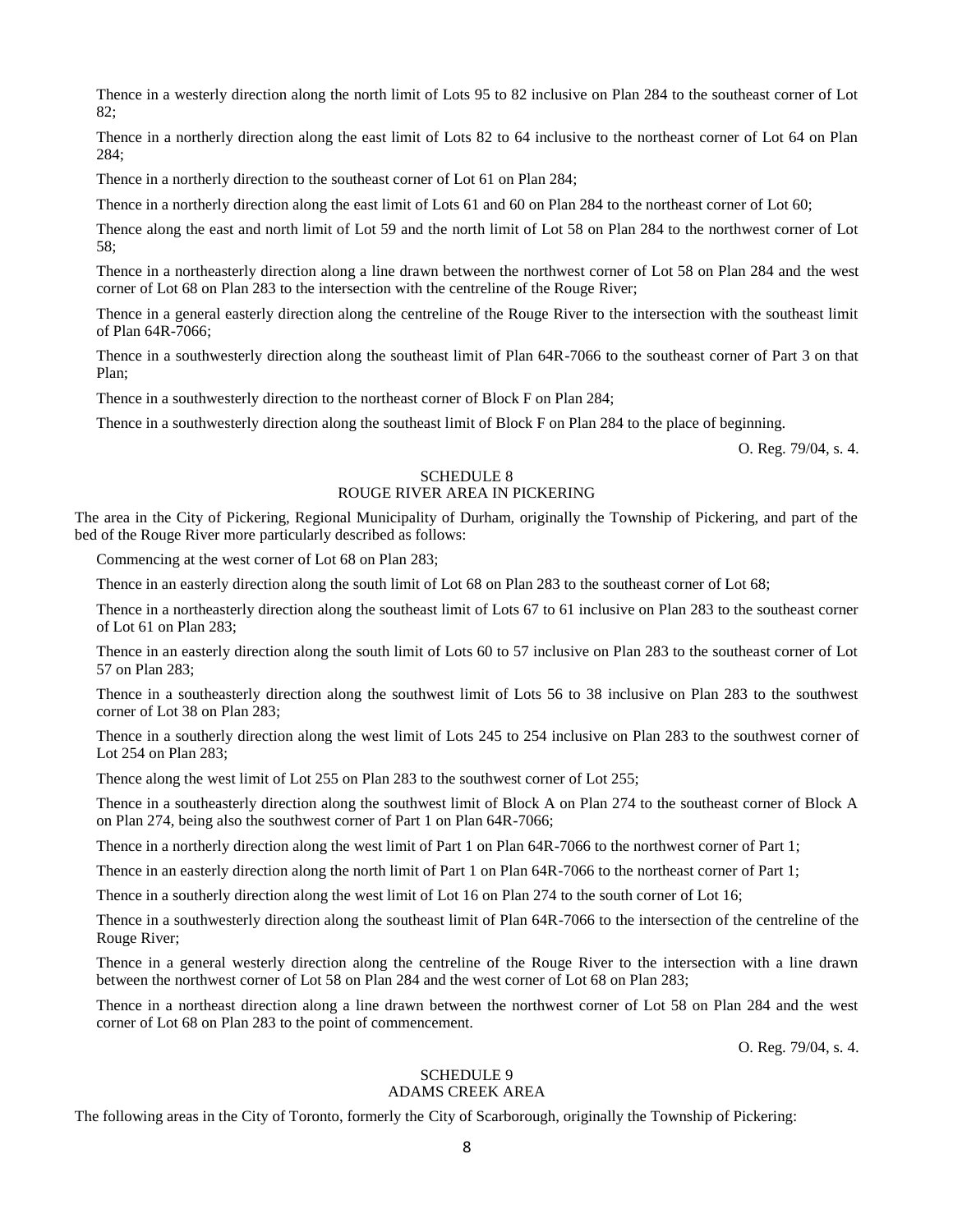Thence in a westerly direction along the north limit of Lots 95 to 82 inclusive on Plan 284 to the southeast corner of Lot 82;

Thence in a northerly direction along the east limit of Lots 82 to 64 inclusive to the northeast corner of Lot 64 on Plan 284;

Thence in a northerly direction to the southeast corner of Lot 61 on Plan 284;

Thence in a northerly direction along the east limit of Lots 61 and 60 on Plan 284 to the northeast corner of Lot 60;

Thence along the east and north limit of Lot 59 and the north limit of Lot 58 on Plan 284 to the northwest corner of Lot 58;

Thence in a northeasterly direction along a line drawn between the northwest corner of Lot 58 on Plan 284 and the west corner of Lot 68 on Plan 283 to the intersection with the centreline of the Rouge River;

Thence in a general easterly direction along the centreline of the Rouge River to the intersection with the southeast limit of Plan 64R-7066;

Thence in a southwesterly direction along the southeast limit of Plan 64R-7066 to the southeast corner of Part 3 on that Plan;

Thence in a southwesterly direction to the northeast corner of Block F on Plan 284;

Thence in a southwesterly direction along the southeast limit of Block F on Plan 284 to the place of beginning.

O. Reg. 79/04, s. 4.

## SCHEDULE 8

# ROUGE RIVER AREA IN PICKERING

The area in the City of Pickering, Regional Municipality of Durham, originally the Township of Pickering, and part of the bed of the Rouge River more particularly described as follows:

Commencing at the west corner of Lot 68 on Plan 283;

Thence in an easterly direction along the south limit of Lot 68 on Plan 283 to the southeast corner of Lot 68;

Thence in a northeasterly direction along the southeast limit of Lots 67 to 61 inclusive on Plan 283 to the southeast corner of Lot 61 on Plan 283;

Thence in an easterly direction along the south limit of Lots 60 to 57 inclusive on Plan 283 to the southeast corner of Lot 57 on Plan 283;

Thence in a southeasterly direction along the southwest limit of Lots 56 to 38 inclusive on Plan 283 to the southwest corner of Lot 38 on Plan 283;

Thence in a southerly direction along the west limit of Lots 245 to 254 inclusive on Plan 283 to the southwest corner of Lot 254 on Plan 283;

Thence along the west limit of Lot 255 on Plan 283 to the southwest corner of Lot 255;

Thence in a southeasterly direction along the southwest limit of Block A on Plan 274 to the southeast corner of Block A on Plan 274, being also the southwest corner of Part 1 on Plan 64R-7066;

Thence in a northerly direction along the west limit of Part 1 on Plan 64R-7066 to the northwest corner of Part 1;

Thence in an easterly direction along the north limit of Part 1 on Plan 64R-7066 to the northeast corner of Part 1;

Thence in a southerly direction along the west limit of Lot 16 on Plan 274 to the south corner of Lot 16;

Thence in a southwesterly direction along the southeast limit of Plan 64R-7066 to the intersection of the centreline of the Rouge River;

Thence in a general westerly direction along the centreline of the Rouge River to the intersection with a line drawn between the northwest corner of Lot 58 on Plan 284 and the west corner of Lot 68 on Plan 283;

Thence in a northeast direction along a line drawn between the northwest corner of Lot 58 on Plan 284 and the west corner of Lot 68 on Plan 283 to the point of commencement.

O. Reg. 79/04, s. 4.

### SCHEDULE 9 ADAMS CREEK AREA

The following areas in the City of Toronto, formerly the City of Scarborough, originally the Township of Pickering: